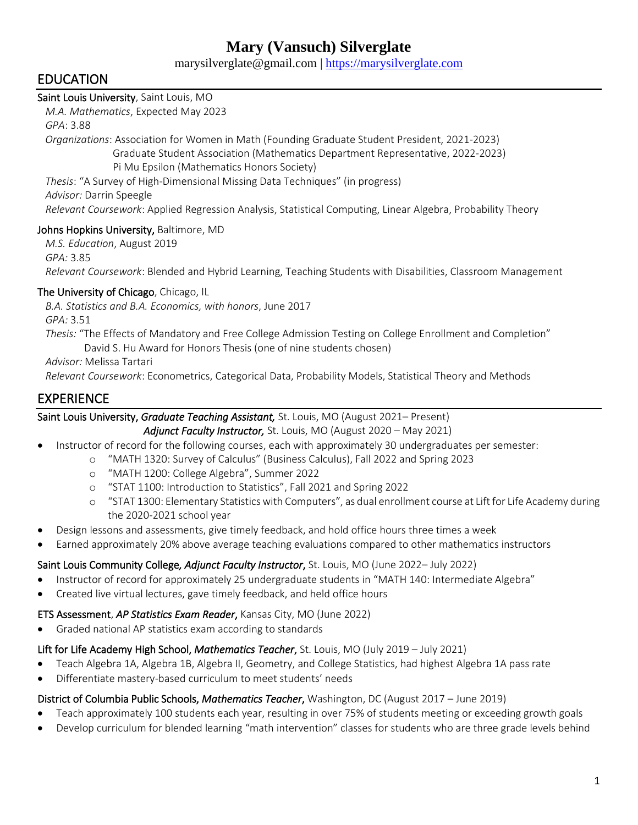# **Mary (Vansuch) Silverglate**

marysilverglate@gmail.com | [https://marysilverglate.com](https://marysilverglate.com/)

## EDUCATION

## Saint Louis University, Saint Louis, MO

 *M.A. Mathematics*, Expected May 2023 *GPA*: 3.88  *Organizations*: Association for Women in Math (Founding Graduate Student President, 2021-2023) Graduate Student Association (Mathematics Department Representative, 2022-2023) Pi Mu Epsilon (Mathematics Honors Society)

 *Thesis*: "A Survey of High-Dimensional Missing Data Techniques" (in progress) *Advisor:* Darrin Speegle  *Relevant Coursework*: Applied Regression Analysis, Statistical Computing, Linear Algebra, Probability Theory

## Johns Hopkins University, Baltimore, MD

 *M.S. Education*, August 2019 *GPA:* 3.85  *Relevant Coursework*: Blended and Hybrid Learning, Teaching Students with Disabilities, Classroom Management

### The University of Chicago, Chicago, IL

 *B.A. Statistics and B.A. Economics, with honors*, June 2017

*GPA:* 3.51

 *Thesis:* "The Effects of Mandatory and Free College Admission Testing on College Enrollment and Completion" David S. Hu Award for Honors Thesis (one of nine students chosen)

*Advisor:* Melissa Tartari

 *Relevant Coursework*: Econometrics, Categorical Data, Probability Models, Statistical Theory and Methods

## EXPERIENCE

Saint Louis University, *Graduate Teaching Assistant,* St. Louis, MO (August 2021– Present)

*Adjunct Faculty Instructor,* St. Louis, MO (August 2020 – May 2021)

- Instructor of record for the following courses, each with approximately 30 undergraduates per semester:
	- o "MATH 1320: Survey of Calculus" (Business Calculus), Fall 2022 and Spring 2023
		- o "MATH 1200: College Algebra", Summer 2022
		- o "STAT 1100: Introduction to Statistics", Fall 2021 and Spring 2022
		- o "STAT 1300: Elementary Statistics with Computers", as dual enrollment course at Lift for Life Academy during the 2020-2021 school year
- Design lessons and assessments, give timely feedback, and hold office hours three times a week
- Earned approximately 20% above average teaching evaluations compared to other mathematics instructors

## Saint Louis Community College*, Adjunct Faculty Instructor*, St. Louis, MO (June 2022– July 2022)

- Instructor of record for approximately 25 undergraduate students in "MATH 140: Intermediate Algebra"
- Created live virtual lectures, gave timely feedback, and held office hours

### ETS Assessment, *AP Statistics Exam Reader*, Kansas City, MO (June 2022)

• Graded national AP statistics exam according to standards

## Lift for Life Academy High School, *Mathematics Teacher*, St. Louis, MO (July 2019 – July 2021)

- Teach Algebra 1A, Algebra 1B, Algebra II, Geometry, and College Statistics, had highest Algebra 1A pass rate
- Differentiate mastery-based curriculum to meet students' needs

## District of Columbia Public Schools, *Mathematics Teacher*, Washington, DC (August 2017 – June 2019)

- Teach approximately 100 students each year, resulting in over 75% of students meeting or exceeding growth goals
- Develop curriculum for blended learning "math intervention" classes for students who are three grade levels behind